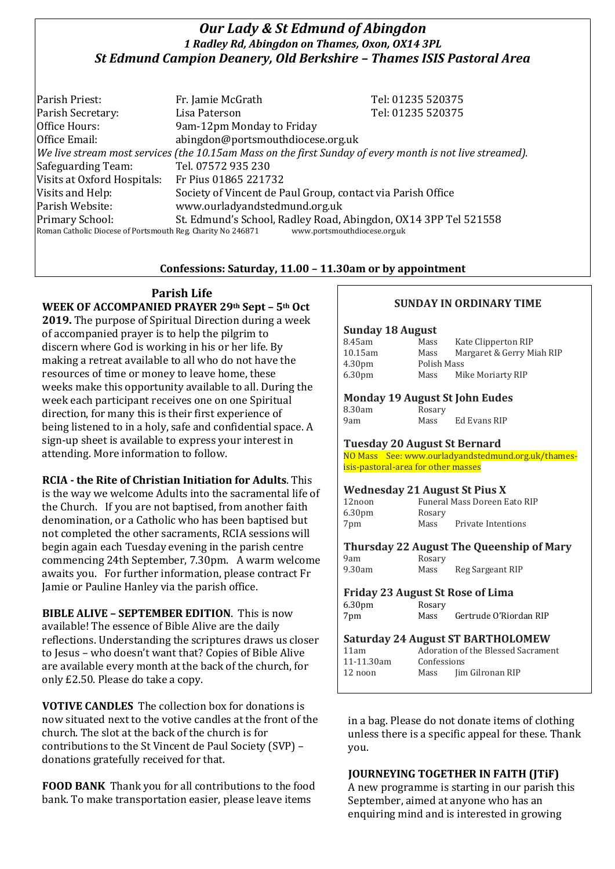## *Our Lady & St Edmund of Abingdon 1 Radley Rd, Abingdon on Thames, Oxon, OX14 3PL St Edmund Campion Deanery, Old Berkshire – Thames ISIS Pastoral Area*

Parish Priest: Fr. Jamie McGrath Tel: 01235 520375 Parish Secretary: Tel: 01235 520375 Office Hours: 9am-12pm Monday to Friday Office Email: abingdon@portsmouthdiocese.org.uk *We live stream most services (the 10.15am Mass on the first Sunday of every month is not live streamed).* Safeguarding Team: Tel. 07572 935 230 Visits at Oxford Hospitals: Fr Pius 01865 221732 Visits and Help: Society of Vincent de Paul Group, contact via Parish Office Parish Website: www.ourladyandstedmund.org.uk Primary School: St. Edmund's School, Radley Road, Abingdon, OX14 3PP Tel 521558 Roman Catholic Diocese of Portsmouth Reg. Charity No 246871 www.portsmouthdiocese.org.uk

### **Confessions: Saturday, 11.00 – 11.30am or by appointment**

# **Parish Life**

**WEEK OF ACCOMPANIED PRAYER 29th Sept – 5th Oct 2019.** The purpose of Spiritual Direction during a week of accompanied prayer is to help the pilgrim to discern where God is working in his or her life. By making a retreat available to all who do not have the resources of time or money to leave home, these weeks make this opportunity available to all. During the week each participant receives one on one Spiritual direction, for many this is their first experience of being listened to in a holy, safe and confidential space. A sign-up sheet is available to express your interest in attending. More information to follow.

**RCIA - the Rite of Christian Initiation for Adults**. This is the way we welcome Adults into the sacramental life of the Church. If you are not baptised, from another faith denomination, or a Catholic who has been baptised but not completed the other sacraments, RCIA sessions will begin again each Tuesday evening in the parish centre commencing 24th September, 7.30pm. A warm welcome awaits you. For further information, please contract Fr Jamie or Pauline Hanley via the parish office.

**BIBLE ALIVE – SEPTEMBER EDITION**. This is now available! The essence of Bible Alive are the daily reflections. Understanding the scriptures draws us closer to Jesus – who doesn't want that? Copies of Bible Alive are available every month at the back of the church, for only £2.50. Please do take a copy.

**VOTIVE CANDLES** The collection box for donations is now situated next to the votive candles at the front of the church. The slot at the back of the church is for contributions to the St Vincent de Paul Society (SVP) – donations gratefully received for that.

**FOOD BANK** Thank you for all contributions to the food bank. To make transportation easier, please leave items

### **SUNDAY IN ORDINARY TIME**

#### **Sunday 18 August**

| 8.45am             | Mass        | Kate Clipperton RIP       |
|--------------------|-------------|---------------------------|
| 10.15am            | Mass        | Margaret & Gerry Miah RIP |
| 4.30 <sub>pm</sub> | Polish Mass |                           |
| 6.30 <sub>pm</sub> | Mass        | Mike Moriarty RIP         |
|                    |             |                           |
|                    |             |                           |

### **Monday 19 August St John Eudes**

| 8.30am | Rosary |                     |
|--------|--------|---------------------|
| 9am    | Mass   | <b>Ed Evans RIP</b> |

#### **Tuesday 20 August St Bernard**

NO Mass See: www.ourladyandstedmund.org.uk/thamesisis-pastoral-area for other masses

#### **Wednesday 21 August St Pius X**

| 12noon             |        | Funeral Mass Doreen Eato RIP |
|--------------------|--------|------------------------------|
| 6.30 <sub>pm</sub> | Rosary |                              |
| 7pm                | Mass   | Private Intentions           |
|                    |        |                              |

### **Thursday 22 August The Queenship of Mary**

#### 9am Rosary<br>9.30am Mass Mass Reg Sargeant RIP

#### **Friday 23 August St Rose of Lima**  $6.30$

| 0.JUDIII<br>7pm | KUSAI V<br>Mass | Gertrude O'Riordan RIP |
|-----------------|-----------------|------------------------|

| 11am       |             | Adoration of the Blessed Sacrament |  |  |
|------------|-------------|------------------------------------|--|--|
| 11-11.30am | Confessions |                                    |  |  |
| 12 noon    | Mass        | Jim Gilronan RIP                   |  |  |
|            |             |                                    |  |  |

in a bag. Please do not donate items of clothing unless there is a specific appeal for these. Thank you.

### **JOURNEYING TOGETHER IN FAITH (JTiF)**

A new programme is starting in our parish this September, aimed at anyone who has an enquiring mind and is interested in growing